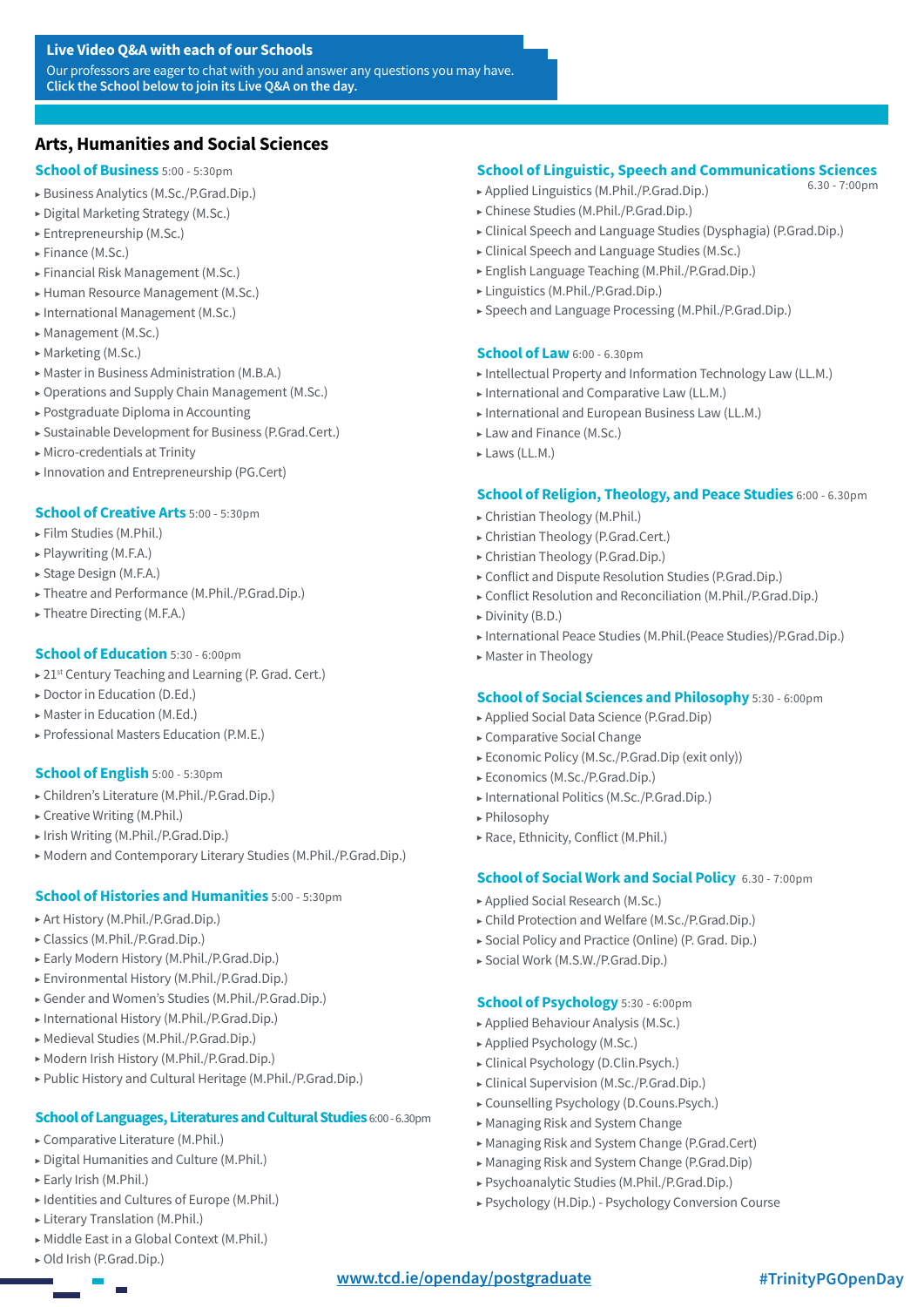#### **Live Video Q&A with each of our Schools**

Our professors are eager to chat with you and answer any questions you may have. **Click the School below to join its Live Q&A on the day.**

# **[Arts, Humanities and Social Sciences](#page--1-0)**

#### **[School of Business](https://teams.microsoft.com/l/meetup-join/19%3ameeting_MDNhNWEzMjEtYWJlYS00YTdjLTlkMWUtZDZmYjdkMTQ0MTJi%40thread.v2/0?context=%7b%22Tid%22%3a%22d595be8d-b306-45f4-8064-9e5b82fbe52b%22%2c%22Oid%22%3a%223c910b23-11d3-4a23-a62b-fae4dcb23d2f%22%7d)** 5:00 - 5:30pm

- ▶ [Business Analytics \(M.Sc./P.Grad.Dip.\)](https://teams.microsoft.com/l/meetup-join/19%3ameeting_MDNhNWEzMjEtYWJlYS00YTdjLTlkMWUtZDZmYjdkMTQ0MTJi%40thread.v2/0?context=%7b%22Tid%22%3a%22d595be8d-b306-45f4-8064-9e5b82fbe52b%22%2c%22Oid%22%3a%223c910b23-11d3-4a23-a62b-fae4dcb23d2f%22%7d)
- ▶ [Digital Marketing Strategy \(M.Sc.\)](https://teams.microsoft.com/l/meetup-join/19%3ameeting_MDNhNWEzMjEtYWJlYS00YTdjLTlkMWUtZDZmYjdkMTQ0MTJi%40thread.v2/0?context=%7b%22Tid%22%3a%22d595be8d-b306-45f4-8064-9e5b82fbe52b%22%2c%22Oid%22%3a%223c910b23-11d3-4a23-a62b-fae4dcb23d2f%22%7d)
- ▶ [Entrepreneurship \(M.Sc.\)](https://teams.microsoft.com/l/meetup-join/19%3ameeting_MDNhNWEzMjEtYWJlYS00YTdjLTlkMWUtZDZmYjdkMTQ0MTJi%40thread.v2/0?context=%7b%22Tid%22%3a%22d595be8d-b306-45f4-8064-9e5b82fbe52b%22%2c%22Oid%22%3a%223c910b23-11d3-4a23-a62b-fae4dcb23d2f%22%7d)
- ▶ [Finance \(M.Sc.\)](https://teams.microsoft.com/l/meetup-join/19%3ameeting_MDNhNWEzMjEtYWJlYS00YTdjLTlkMWUtZDZmYjdkMTQ0MTJi%40thread.v2/0?context=%7b%22Tid%22%3a%22d595be8d-b306-45f4-8064-9e5b82fbe52b%22%2c%22Oid%22%3a%223c910b23-11d3-4a23-a62b-fae4dcb23d2f%22%7d)
- ▶ [Financial Risk Management \(M.Sc.\)](https://teams.microsoft.com/l/meetup-join/19%3ameeting_MDNhNWEzMjEtYWJlYS00YTdjLTlkMWUtZDZmYjdkMTQ0MTJi%40thread.v2/0?context=%7b%22Tid%22%3a%22d595be8d-b306-45f4-8064-9e5b82fbe52b%22%2c%22Oid%22%3a%223c910b23-11d3-4a23-a62b-fae4dcb23d2f%22%7d)
- ▶ [Human Resource Management \(M.Sc.\)](https://teams.microsoft.com/l/meetup-join/19%3ameeting_MDNhNWEzMjEtYWJlYS00YTdjLTlkMWUtZDZmYjdkMTQ0MTJi%40thread.v2/0?context=%7b%22Tid%22%3a%22d595be8d-b306-45f4-8064-9e5b82fbe52b%22%2c%22Oid%22%3a%223c910b23-11d3-4a23-a62b-fae4dcb23d2f%22%7d)
- ▶ [International Management \(M.Sc.\)](https://teams.microsoft.com/l/meetup-join/19%3ameeting_MDNhNWEzMjEtYWJlYS00YTdjLTlkMWUtZDZmYjdkMTQ0MTJi%40thread.v2/0?context=%7b%22Tid%22%3a%22d595be8d-b306-45f4-8064-9e5b82fbe52b%22%2c%22Oid%22%3a%223c910b23-11d3-4a23-a62b-fae4dcb23d2f%22%7d)
- ▶ [Management \(M.Sc.\)](https://teams.microsoft.com/l/meetup-join/19%3ameeting_MDNhNWEzMjEtYWJlYS00YTdjLTlkMWUtZDZmYjdkMTQ0MTJi%40thread.v2/0?context=%7b%22Tid%22%3a%22d595be8d-b306-45f4-8064-9e5b82fbe52b%22%2c%22Oid%22%3a%223c910b23-11d3-4a23-a62b-fae4dcb23d2f%22%7d)
- ▶ [Marketing \(M.Sc.\)](https://teams.microsoft.com/l/meetup-join/19%3ameeting_MDNhNWEzMjEtYWJlYS00YTdjLTlkMWUtZDZmYjdkMTQ0MTJi%40thread.v2/0?context=%7b%22Tid%22%3a%22d595be8d-b306-45f4-8064-9e5b82fbe52b%22%2c%22Oid%22%3a%223c910b23-11d3-4a23-a62b-fae4dcb23d2f%22%7d)
- ▶ [Master in Business Administration \(M.B.A.\)](https://teams.microsoft.com/l/meetup-join/19%3ameeting_MDNhNWEzMjEtYWJlYS00YTdjLTlkMWUtZDZmYjdkMTQ0MTJi%40thread.v2/0?context=%7b%22Tid%22%3a%22d595be8d-b306-45f4-8064-9e5b82fbe52b%22%2c%22Oid%22%3a%223c910b23-11d3-4a23-a62b-fae4dcb23d2f%22%7d)
- ▶ [Operations and Supply Chain Management \(M.Sc.\)](https://teams.microsoft.com/l/meetup-join/19%3ameeting_MDNhNWEzMjEtYWJlYS00YTdjLTlkMWUtZDZmYjdkMTQ0MTJi%40thread.v2/0?context=%7b%22Tid%22%3a%22d595be8d-b306-45f4-8064-9e5b82fbe52b%22%2c%22Oid%22%3a%223c910b23-11d3-4a23-a62b-fae4dcb23d2f%22%7d)
- ▶ [Postgraduate Diploma in Accounting](https://teams.microsoft.com/l/meetup-join/19%3ameeting_MDNhNWEzMjEtYWJlYS00YTdjLTlkMWUtZDZmYjdkMTQ0MTJi%40thread.v2/0?context=%7b%22Tid%22%3a%22d595be8d-b306-45f4-8064-9e5b82fbe52b%22%2c%22Oid%22%3a%223c910b23-11d3-4a23-a62b-fae4dcb23d2f%22%7d)
- ▶ [Sustainable Development for Business \(P.Grad.Cert.\)](https://teams.microsoft.com/l/meetup-join/19%3ameeting_MDNhNWEzMjEtYWJlYS00YTdjLTlkMWUtZDZmYjdkMTQ0MTJi%40thread.v2/0?context=%7b%22Tid%22%3a%22d595be8d-b306-45f4-8064-9e5b82fbe52b%22%2c%22Oid%22%3a%223c910b23-11d3-4a23-a62b-fae4dcb23d2f%22%7d)
- ▶ Micro-credentials at Trinity
- ▶ Innovation and Entrepreneurship (PG.Cert)

#### **[School of Creative Arts](https://teams.microsoft.com/l/meetup-join/19%3ameeting_NmQwMDAxODQtY2NhZS00NGJmLWE1ODktNGZlNzE2Mzk4YThk%40thread.v2/0?context=%7b%22Tid%22%3a%22d595be8d-b306-45f4-8064-9e5b82fbe52b%22%2c%22Oid%22%3a%223c910b23-11d3-4a23-a62b-fae4dcb23d2f%22%7d)** 5:00 - 5:30pm

- ▶ [Film Studies \(M.Phil.\)](https://teams.microsoft.com/l/meetup-join/19%3ameeting_NmQwMDAxODQtY2NhZS00NGJmLWE1ODktNGZlNzE2Mzk4YThk%40thread.v2/0?context=%7b%22Tid%22%3a%22d595be8d-b306-45f4-8064-9e5b82fbe52b%22%2c%22Oid%22%3a%223c910b23-11d3-4a23-a62b-fae4dcb23d2f%22%7d)
- ▶ [Playwriting \(M.F.A.\)](https://teams.microsoft.com/l/meetup-join/19%3ameeting_NmQwMDAxODQtY2NhZS00NGJmLWE1ODktNGZlNzE2Mzk4YThk%40thread.v2/0?context=%7b%22Tid%22%3a%22d595be8d-b306-45f4-8064-9e5b82fbe52b%22%2c%22Oid%22%3a%223c910b23-11d3-4a23-a62b-fae4dcb23d2f%22%7d)
- ▶ [Stage Design \(M.F.A.\)](https://teams.microsoft.com/l/meetup-join/19%3ameeting_NmQwMDAxODQtY2NhZS00NGJmLWE1ODktNGZlNzE2Mzk4YThk%40thread.v2/0?context=%7b%22Tid%22%3a%22d595be8d-b306-45f4-8064-9e5b82fbe52b%22%2c%22Oid%22%3a%223c910b23-11d3-4a23-a62b-fae4dcb23d2f%22%7d)
- ▶ [Theatre and Performance \(M.Phil./P.Grad.Dip.\)](https://teams.microsoft.com/l/meetup-join/19%3ameeting_NmQwMDAxODQtY2NhZS00NGJmLWE1ODktNGZlNzE2Mzk4YThk%40thread.v2/0?context=%7b%22Tid%22%3a%22d595be8d-b306-45f4-8064-9e5b82fbe52b%22%2c%22Oid%22%3a%223c910b23-11d3-4a23-a62b-fae4dcb23d2f%22%7d)
- ▶ [Theatre Directing \(M.F.A.\)](https://teams.microsoft.com/l/meetup-join/19%3ameeting_NmQwMDAxODQtY2NhZS00NGJmLWE1ODktNGZlNzE2Mzk4YThk%40thread.v2/0?context=%7b%22Tid%22%3a%22d595be8d-b306-45f4-8064-9e5b82fbe52b%22%2c%22Oid%22%3a%223c910b23-11d3-4a23-a62b-fae4dcb23d2f%22%7d)

#### **[School of Education](https://teams.microsoft.com/l/meetup-join/19%3ameeting_NWU4OTc3N2ItMDFiMi00NzliLWExNTEtMzc4ZjJhODkwOTAx%40thread.v2/0?context=%7b%22Tid%22%3a%22d595be8d-b306-45f4-8064-9e5b82fbe52b%22%2c%22Oid%22%3a%223c910b23-11d3-4a23-a62b-fae4dcb23d2f%22%7d)** 5:30 - 6:00pm

- ▶ 21<sup>st</sup> Century Teaching and Learning (P. Grad. Cert.)
- ▶ [Doctor in Education \(D.Ed.\)](https://teams.microsoft.com/l/meetup-join/19%3ameeting_NWU4OTc3N2ItMDFiMi00NzliLWExNTEtMzc4ZjJhODkwOTAx%40thread.v2/0?context=%7b%22Tid%22%3a%22d595be8d-b306-45f4-8064-9e5b82fbe52b%22%2c%22Oid%22%3a%223c910b23-11d3-4a23-a62b-fae4dcb23d2f%22%7d)
- ▶ [Master in Education \(M.Ed.\)](https://teams.microsoft.com/l/meetup-join/19%3ameeting_NWU4OTc3N2ItMDFiMi00NzliLWExNTEtMzc4ZjJhODkwOTAx%40thread.v2/0?context=%7b%22Tid%22%3a%22d595be8d-b306-45f4-8064-9e5b82fbe52b%22%2c%22Oid%22%3a%223c910b23-11d3-4a23-a62b-fae4dcb23d2f%22%7d)
- ▶ [Professional Masters Education \(P.M.E.\)](https://teams.microsoft.com/l/meetup-join/19%3ameeting_NWU4OTc3N2ItMDFiMi00NzliLWExNTEtMzc4ZjJhODkwOTAx%40thread.v2/0?context=%7b%22Tid%22%3a%22d595be8d-b306-45f4-8064-9e5b82fbe52b%22%2c%22Oid%22%3a%223c910b23-11d3-4a23-a62b-fae4dcb23d2f%22%7d)

#### **[School of English](https://teams.microsoft.com/l/meetup-join/19%3ameeting_YjlmZmYwYjYtZmY0NC00ZGNlLWI4ZjQtZTUxYzgyNjJiZWNk%40thread.v2/0?context=%7b%22Tid%22%3a%22d595be8d-b306-45f4-8064-9e5b82fbe52b%22%2c%22Oid%22%3a%223c910b23-11d3-4a23-a62b-fae4dcb23d2f%22%7d)** 5:00 - 5:30pm

- ▶ [Children's Literature \(M.Phil./P.Grad.Dip.\)](https://teams.microsoft.com/l/meetup-join/19%3ameeting_YjlmZmYwYjYtZmY0NC00ZGNlLWI4ZjQtZTUxYzgyNjJiZWNk%40thread.v2/0?context=%7b%22Tid%22%3a%22d595be8d-b306-45f4-8064-9e5b82fbe52b%22%2c%22Oid%22%3a%223c910b23-11d3-4a23-a62b-fae4dcb23d2f%22%7d)
- $\triangleright$  [Creative Writing \(M.Phil.\)](https://teams.microsoft.com/l/meetup-join/19%3ameeting_YjlmZmYwYjYtZmY0NC00ZGNlLWI4ZjQtZTUxYzgyNjJiZWNk%40thread.v2/0?context=%7b%22Tid%22%3a%22d595be8d-b306-45f4-8064-9e5b82fbe52b%22%2c%22Oid%22%3a%223c910b23-11d3-4a23-a62b-fae4dcb23d2f%22%7d)
- ▶ [Irish Writing \(M.Phil./P.Grad.Dip.\)](https://teams.microsoft.com/l/meetup-join/19%3ameeting_YjlmZmYwYjYtZmY0NC00ZGNlLWI4ZjQtZTUxYzgyNjJiZWNk%40thread.v2/0?context=%7b%22Tid%22%3a%22d595be8d-b306-45f4-8064-9e5b82fbe52b%22%2c%22Oid%22%3a%223c910b23-11d3-4a23-a62b-fae4dcb23d2f%22%7d)
- ▶ [Modern and Contemporary Literary Studies \(M.Phil./P.Grad.Dip.\)](https://teams.microsoft.com/l/meetup-join/19%3ameeting_YjlmZmYwYjYtZmY0NC00ZGNlLWI4ZjQtZTUxYzgyNjJiZWNk%40thread.v2/0?context=%7b%22Tid%22%3a%22d595be8d-b306-45f4-8064-9e5b82fbe52b%22%2c%22Oid%22%3a%223c910b23-11d3-4a23-a62b-fae4dcb23d2f%22%7d)

# **[School of Histories and Humanities](https://teams.microsoft.com/l/meetup-join/19%3ameeting_MzA0Y2E0NjMtNjgwYS00Zjk4LWI1NTUtYmYxYTQ4NWMxZTdm%40thread.v2/0?context=%7b%22Tid%22%3a%22d595be8d-b306-45f4-8064-9e5b82fbe52b%22%2c%22Oid%22%3a%223c910b23-11d3-4a23-a62b-fae4dcb23d2f%22%7d)** 5:00 - 5:30pm

- ▶ [Art History \(M.Phil./P.Grad.Dip.\)](https://teams.microsoft.com/l/meetup-join/19%3ameeting_MzA0Y2E0NjMtNjgwYS00Zjk4LWI1NTUtYmYxYTQ4NWMxZTdm%40thread.v2/0?context=%7b%22Tid%22%3a%22d595be8d-b306-45f4-8064-9e5b82fbe52b%22%2c%22Oid%22%3a%223c910b23-11d3-4a23-a62b-fae4dcb23d2f%22%7d)
- ▶ [Classics \(M.Phil./P.Grad.Dip.\)](https://teams.microsoft.com/l/meetup-join/19%3ameeting_MzA0Y2E0NjMtNjgwYS00Zjk4LWI1NTUtYmYxYTQ4NWMxZTdm%40thread.v2/0?context=%7b%22Tid%22%3a%22d595be8d-b306-45f4-8064-9e5b82fbe52b%22%2c%22Oid%22%3a%223c910b23-11d3-4a23-a62b-fae4dcb23d2f%22%7d)
- ▶ [Early Modern History \(M.Phil./P.Grad.Dip.\)](https://teams.microsoft.com/l/meetup-join/19%3ameeting_MzA0Y2E0NjMtNjgwYS00Zjk4LWI1NTUtYmYxYTQ4NWMxZTdm%40thread.v2/0?context=%7b%22Tid%22%3a%22d595be8d-b306-45f4-8064-9e5b82fbe52b%22%2c%22Oid%22%3a%223c910b23-11d3-4a23-a62b-fae4dcb23d2f%22%7d)
- ▶ [Environmental History \(M.Phil./P.Grad.Dip.\)](https://teams.microsoft.com/l/meetup-join/19%3ameeting_MzA0Y2E0NjMtNjgwYS00Zjk4LWI1NTUtYmYxYTQ4NWMxZTdm%40thread.v2/0?context=%7b%22Tid%22%3a%22d595be8d-b306-45f4-8064-9e5b82fbe52b%22%2c%22Oid%22%3a%223c910b23-11d3-4a23-a62b-fae4dcb23d2f%22%7d)
- ▶ [Gender and Women's Studies \(M.Phil./P.Grad.Dip.\)](https://teams.microsoft.com/l/meetup-join/19%3ameeting_MzA0Y2E0NjMtNjgwYS00Zjk4LWI1NTUtYmYxYTQ4NWMxZTdm%40thread.v2/0?context=%7b%22Tid%22%3a%22d595be8d-b306-45f4-8064-9e5b82fbe52b%22%2c%22Oid%22%3a%223c910b23-11d3-4a23-a62b-fae4dcb23d2f%22%7d)
- ▶ [International History \(M.Phil./P.Grad.Dip.\)](https://teams.microsoft.com/l/meetup-join/19%3ameeting_MzA0Y2E0NjMtNjgwYS00Zjk4LWI1NTUtYmYxYTQ4NWMxZTdm%40thread.v2/0?context=%7b%22Tid%22%3a%22d595be8d-b306-45f4-8064-9e5b82fbe52b%22%2c%22Oid%22%3a%223c910b23-11d3-4a23-a62b-fae4dcb23d2f%22%7d)
- ▶ [Medieval Studies \(M.Phil./P.Grad.Dip.\)](https://teams.microsoft.com/l/meetup-join/19%3ameeting_MzA0Y2E0NjMtNjgwYS00Zjk4LWI1NTUtYmYxYTQ4NWMxZTdm%40thread.v2/0?context=%7b%22Tid%22%3a%22d595be8d-b306-45f4-8064-9e5b82fbe52b%22%2c%22Oid%22%3a%223c910b23-11d3-4a23-a62b-fae4dcb23d2f%22%7d)
- ▶ [Modern Irish History \(M.Phil./P.Grad.Dip.\)](https://teams.microsoft.com/l/meetup-join/19%3ameeting_MzA0Y2E0NjMtNjgwYS00Zjk4LWI1NTUtYmYxYTQ4NWMxZTdm%40thread.v2/0?context=%7b%22Tid%22%3a%22d595be8d-b306-45f4-8064-9e5b82fbe52b%22%2c%22Oid%22%3a%223c910b23-11d3-4a23-a62b-fae4dcb23d2f%22%7d)
- ▶ [Public History and Cultural Heritage \(M.Phil./P.Grad.Dip.\)](https://teams.microsoft.com/l/meetup-join/19%3ameeting_MzA0Y2E0NjMtNjgwYS00Zjk4LWI1NTUtYmYxYTQ4NWMxZTdm%40thread.v2/0?context=%7b%22Tid%22%3a%22d595be8d-b306-45f4-8064-9e5b82fbe52b%22%2c%22Oid%22%3a%223c910b23-11d3-4a23-a62b-fae4dcb23d2f%22%7d)

# **[School of Languages, Literatures and Cultural Studies](https://teams.microsoft.com/l/meetup-join/19%3ameeting_MzQzMTlhNTYtMWFjZS00YTdhLWFmZmYtYzE2Mjc5ODU3OTEy%40thread.v2/0?context=%7b%22Tid%22%3a%22d595be8d-b306-45f4-8064-9e5b82fbe52b%22%2c%22Oid%22%3a%223c910b23-11d3-4a23-a62b-fae4dcb23d2f%22%7d)** 6:00 - 6.30pm

- ▶ [Comparative Literature \(M.Phil.\)](https://teams.microsoft.com/l/meetup-join/19%3ameeting_MzQzMTlhNTYtMWFjZS00YTdhLWFmZmYtYzE2Mjc5ODU3OTEy%40thread.v2/0?context=%7b%22Tid%22%3a%22d595be8d-b306-45f4-8064-9e5b82fbe52b%22%2c%22Oid%22%3a%223c910b23-11d3-4a23-a62b-fae4dcb23d2f%22%7d)
- ▶ [Digital Humanities and Culture \(M.Phil.\)](https://teams.microsoft.com/l/meetup-join/19%3ameeting_MzQzMTlhNTYtMWFjZS00YTdhLWFmZmYtYzE2Mjc5ODU3OTEy%40thread.v2/0?context=%7b%22Tid%22%3a%22d595be8d-b306-45f4-8064-9e5b82fbe52b%22%2c%22Oid%22%3a%223c910b23-11d3-4a23-a62b-fae4dcb23d2f%22%7d)
- ▶ [Early Irish \(M.Phil.\)](https://teams.microsoft.com/l/meetup-join/19%3ameeting_MzQzMTlhNTYtMWFjZS00YTdhLWFmZmYtYzE2Mjc5ODU3OTEy%40thread.v2/0?context=%7b%22Tid%22%3a%22d595be8d-b306-45f4-8064-9e5b82fbe52b%22%2c%22Oid%22%3a%223c910b23-11d3-4a23-a62b-fae4dcb23d2f%22%7d)
- ▶ [Identities and Cultures of Europe \(M.Phil.\)](https://teams.microsoft.com/l/meetup-join/19%3ameeting_MzQzMTlhNTYtMWFjZS00YTdhLWFmZmYtYzE2Mjc5ODU3OTEy%40thread.v2/0?context=%7b%22Tid%22%3a%22d595be8d-b306-45f4-8064-9e5b82fbe52b%22%2c%22Oid%22%3a%223c910b23-11d3-4a23-a62b-fae4dcb23d2f%22%7d)
- ▶ [Literary Translation \(M.Phil.\)](https://teams.microsoft.com/l/meetup-join/19%3ameeting_MzQzMTlhNTYtMWFjZS00YTdhLWFmZmYtYzE2Mjc5ODU3OTEy%40thread.v2/0?context=%7b%22Tid%22%3a%22d595be8d-b306-45f4-8064-9e5b82fbe52b%22%2c%22Oid%22%3a%223c910b23-11d3-4a23-a62b-fae4dcb23d2f%22%7d)
- ▶ [Middle East in a Global Context \(M.Phil.\)](https://teams.microsoft.com/l/meetup-join/19%3ameeting_MzQzMTlhNTYtMWFjZS00YTdhLWFmZmYtYzE2Mjc5ODU3OTEy%40thread.v2/0?context=%7b%22Tid%22%3a%22d595be8d-b306-45f4-8064-9e5b82fbe52b%22%2c%22Oid%22%3a%223c910b23-11d3-4a23-a62b-fae4dcb23d2f%22%7d)
- ▶ [Old Irish \(P.Grad.Dip.\)](https://teams.microsoft.com/l/meetup-join/19%3ameeting_MzQzMTlhNTYtMWFjZS00YTdhLWFmZmYtYzE2Mjc5ODU3OTEy%40thread.v2/0?context=%7b%22Tid%22%3a%22d595be8d-b306-45f4-8064-9e5b82fbe52b%22%2c%22Oid%22%3a%223c910b23-11d3-4a23-a62b-fae4dcb23d2f%22%7d)

# **[School of Linguistic, Speech and Communications Sciences](https://teams.microsoft.com/l/meetup-join/19%3ameeting_YWE0ODQ2NmUtNDVjNi00OTJjLWE0MjUtY2U2MWY1NGEzNzVi%40thread.v2/0?context=%7b%22Tid%22%3a%22d595be8d-b306-45f4-8064-9e5b82fbe52b%22%2c%22Oid%22%3a%223c910b23-11d3-4a23-a62b-fae4dcb23d2f%22%7d)**

6.30 - 7:00pm

- ▶ [Applied Linguistics \(M.Phil./P.Grad.Dip.\)](https://teams.microsoft.com/l/meetup-join/19%3ameeting_YWE0ODQ2NmUtNDVjNi00OTJjLWE0MjUtY2U2MWY1NGEzNzVi%40thread.v2/0?context=%7b%22Tid%22%3a%22d595be8d-b306-45f4-8064-9e5b82fbe52b%22%2c%22Oid%22%3a%223c910b23-11d3-4a23-a62b-fae4dcb23d2f%22%7d)
- ▶ [Chinese Studies \(M.Phil./P.Grad.Dip.\)](https://teams.microsoft.com/l/meetup-join/19%3ameeting_YWE0ODQ2NmUtNDVjNi00OTJjLWE0MjUtY2U2MWY1NGEzNzVi%40thread.v2/0?context=%7b%22Tid%22%3a%22d595be8d-b306-45f4-8064-9e5b82fbe52b%22%2c%22Oid%22%3a%223c910b23-11d3-4a23-a62b-fae4dcb23d2f%22%7d)
- ▶ [Clinical Speech and Language Studies \(Dysphagia\) \(P.Grad.Dip.\)](https://teams.microsoft.com/l/meetup-join/19%3ameeting_YWE0ODQ2NmUtNDVjNi00OTJjLWE0MjUtY2U2MWY1NGEzNzVi%40thread.v2/0?context=%7b%22Tid%22%3a%22d595be8d-b306-45f4-8064-9e5b82fbe52b%22%2c%22Oid%22%3a%223c910b23-11d3-4a23-a62b-fae4dcb23d2f%22%7d)
- ▶ [Clinical Speech and Language Studies \(M.Sc.\)](https://teams.microsoft.com/l/meetup-join/19%3ameeting_YWE0ODQ2NmUtNDVjNi00OTJjLWE0MjUtY2U2MWY1NGEzNzVi%40thread.v2/0?context=%7b%22Tid%22%3a%22d595be8d-b306-45f4-8064-9e5b82fbe52b%22%2c%22Oid%22%3a%223c910b23-11d3-4a23-a62b-fae4dcb23d2f%22%7d)
- ▶ [English Language Teaching \(M.Phil./P.Grad.Dip.\)](https://teams.microsoft.com/l/meetup-join/19%3ameeting_YWE0ODQ2NmUtNDVjNi00OTJjLWE0MjUtY2U2MWY1NGEzNzVi%40thread.v2/0?context=%7b%22Tid%22%3a%22d595be8d-b306-45f4-8064-9e5b82fbe52b%22%2c%22Oid%22%3a%223c910b23-11d3-4a23-a62b-fae4dcb23d2f%22%7d)
- ▶ [Linguistics \(M.Phil./P.Grad.Dip.\)](https://teams.microsoft.com/l/meetup-join/19%3ameeting_YWE0ODQ2NmUtNDVjNi00OTJjLWE0MjUtY2U2MWY1NGEzNzVi%40thread.v2/0?context=%7b%22Tid%22%3a%22d595be8d-b306-45f4-8064-9e5b82fbe52b%22%2c%22Oid%22%3a%223c910b23-11d3-4a23-a62b-fae4dcb23d2f%22%7d)
- ▶ [Speech and Language Processing \(M.Phil./P.Grad.Dip.\)](https://teams.microsoft.com/l/meetup-join/19%3ameeting_YWE0ODQ2NmUtNDVjNi00OTJjLWE0MjUtY2U2MWY1NGEzNzVi%40thread.v2/0?context=%7b%22Tid%22%3a%22d595be8d-b306-45f4-8064-9e5b82fbe52b%22%2c%22Oid%22%3a%223c910b23-11d3-4a23-a62b-fae4dcb23d2f%22%7d)

# **[School of Law](https://teams.microsoft.com/l/meetup-join/19%3ameeting_OTk1MDNiOGYtYzcyOC00ODE3LTgwNjItMTJmMDkxNzcxYjU2%40thread.v2/0?context=%7b%22Tid%22%3a%22d595be8d-b306-45f4-8064-9e5b82fbe52b%22%2c%22Oid%22%3a%223c910b23-11d3-4a23-a62b-fae4dcb23d2f%22%7d)** 6:00 - 6.30pm

- ▶ [Intellectual Property and Information Technology Law \(LL.M.\)](https://teams.microsoft.com/l/meetup-join/19%3ameeting_OTk1MDNiOGYtYzcyOC00ODE3LTgwNjItMTJmMDkxNzcxYjU2%40thread.v2/0?context=%7b%22Tid%22%3a%22d595be8d-b306-45f4-8064-9e5b82fbe52b%22%2c%22Oid%22%3a%223c910b23-11d3-4a23-a62b-fae4dcb23d2f%22%7d)
- ▶ [International and Comparative Law \(LL.M.\)](https://teams.microsoft.com/l/meetup-join/19%3ameeting_OTk1MDNiOGYtYzcyOC00ODE3LTgwNjItMTJmMDkxNzcxYjU2%40thread.v2/0?context=%7b%22Tid%22%3a%22d595be8d-b306-45f4-8064-9e5b82fbe52b%22%2c%22Oid%22%3a%223c910b23-11d3-4a23-a62b-fae4dcb23d2f%22%7d)
- ▶ [International and European Business Law \(LL.M.\)](https://teams.microsoft.com/l/meetup-join/19%3ameeting_OTk1MDNiOGYtYzcyOC00ODE3LTgwNjItMTJmMDkxNzcxYjU2%40thread.v2/0?context=%7b%22Tid%22%3a%22d595be8d-b306-45f4-8064-9e5b82fbe52b%22%2c%22Oid%22%3a%223c910b23-11d3-4a23-a62b-fae4dcb23d2f%22%7d)
- ▶ [Law and Finance \(M.Sc.\)](https://teams.microsoft.com/l/meetup-join/19%3ameeting_OTk1MDNiOGYtYzcyOC00ODE3LTgwNjItMTJmMDkxNzcxYjU2%40thread.v2/0?context=%7b%22Tid%22%3a%22d595be8d-b306-45f4-8064-9e5b82fbe52b%22%2c%22Oid%22%3a%223c910b23-11d3-4a23-a62b-fae4dcb23d2f%22%7d)
- $\triangleright$  [Laws \(LL.M.\)](https://teams.microsoft.com/l/meetup-join/19%3ameeting_OTk1MDNiOGYtYzcyOC00ODE3LTgwNjItMTJmMDkxNzcxYjU2%40thread.v2/0?context=%7b%22Tid%22%3a%22d595be8d-b306-45f4-8064-9e5b82fbe52b%22%2c%22Oid%22%3a%223c910b23-11d3-4a23-a62b-fae4dcb23d2f%22%7d)

# **School of Religion, Theology, and Peace Studies** [6:00 - 6.30pm](https://teams.microsoft.com/l/meetup-join/19%3ameeting_ODBlZTkyMjgtODhmZC00MzllLTk2MzItYjY1YzlmMDljNThh%40thread.v2/0?context=%7b%22Tid%22%3a%22d595be8d-b306-45f4-8064-9e5b82fbe52b%22%2c%22Oid%22%3a%223c910b23-11d3-4a23-a62b-fae4dcb23d2f%22%7d)

- ▶ [Christian Theology \(M.Phil.\)](https://teams.microsoft.com/l/meetup-join/19%3ameeting_ODBlZTkyMjgtODhmZC00MzllLTk2MzItYjY1YzlmMDljNThh%40thread.v2/0?context=%7b%22Tid%22%3a%22d595be8d-b306-45f4-8064-9e5b82fbe52b%22%2c%22Oid%22%3a%223c910b23-11d3-4a23-a62b-fae4dcb23d2f%22%7d)
- ▶ [Christian Theology \(P.Grad.Cert.\)](https://teams.microsoft.com/l/meetup-join/19%3ameeting_ODBlZTkyMjgtODhmZC00MzllLTk2MzItYjY1YzlmMDljNThh%40thread.v2/0?context=%7b%22Tid%22%3a%22d595be8d-b306-45f4-8064-9e5b82fbe52b%22%2c%22Oid%22%3a%223c910b23-11d3-4a23-a62b-fae4dcb23d2f%22%7d)
- ▶ [Christian Theology \(P.Grad.Dip.\)](https://teams.microsoft.com/l/meetup-join/19%3ameeting_ODBlZTkyMjgtODhmZC00MzllLTk2MzItYjY1YzlmMDljNThh%40thread.v2/0?context=%7b%22Tid%22%3a%22d595be8d-b306-45f4-8064-9e5b82fbe52b%22%2c%22Oid%22%3a%223c910b23-11d3-4a23-a62b-fae4dcb23d2f%22%7d)
- ▶ [Conflict and Dispute Resolution Studies \(P.Grad.Dip.\)](https://teams.microsoft.com/l/meetup-join/19%3ameeting_ODBlZTkyMjgtODhmZC00MzllLTk2MzItYjY1YzlmMDljNThh%40thread.v2/0?context=%7b%22Tid%22%3a%22d595be8d-b306-45f4-8064-9e5b82fbe52b%22%2c%22Oid%22%3a%223c910b23-11d3-4a23-a62b-fae4dcb23d2f%22%7d)
- ▶ [Conflict Resolution and Reconciliation \(M.Phil./P.Grad.Dip.\)](https://teams.microsoft.com/l/meetup-join/19%3ameeting_ODBlZTkyMjgtODhmZC00MzllLTk2MzItYjY1YzlmMDljNThh%40thread.v2/0?context=%7b%22Tid%22%3a%22d595be8d-b306-45f4-8064-9e5b82fbe52b%22%2c%22Oid%22%3a%223c910b23-11d3-4a23-a62b-fae4dcb23d2f%22%7d)
- ▶ [Divinity \(B.D.\)](https://teams.microsoft.com/l/meetup-join/19%3ameeting_ODBlZTkyMjgtODhmZC00MzllLTk2MzItYjY1YzlmMDljNThh%40thread.v2/0?context=%7b%22Tid%22%3a%22d595be8d-b306-45f4-8064-9e5b82fbe52b%22%2c%22Oid%22%3a%223c910b23-11d3-4a23-a62b-fae4dcb23d2f%22%7d)
- ▶ [International Peace Studies \(M.Phil.\(Peace Studies\)/P.Grad.Dip.\)](https://teams.microsoft.com/l/meetup-join/19%3ameeting_ODBlZTkyMjgtODhmZC00MzllLTk2MzItYjY1YzlmMDljNThh%40thread.v2/0?context=%7b%22Tid%22%3a%22d595be8d-b306-45f4-8064-9e5b82fbe52b%22%2c%22Oid%22%3a%223c910b23-11d3-4a23-a62b-fae4dcb23d2f%22%7d)
- ▶ [Master in Theology](https://teams.microsoft.com/l/meetup-join/19%3ameeting_ODBlZTkyMjgtODhmZC00MzllLTk2MzItYjY1YzlmMDljNThh%40thread.v2/0?context=%7b%22Tid%22%3a%22d595be8d-b306-45f4-8064-9e5b82fbe52b%22%2c%22Oid%22%3a%223c910b23-11d3-4a23-a62b-fae4dcb23d2f%22%7d)

#### **[School of Social Sciences and Philosophy](https://teams.microsoft.com/l/meetup-join/19%3ameeting_ZTI1ZWE1MzYtMzZmNC00ZGRjLWFhZmQtNGY5ZDcwNzBhYTEw%40thread.v2/0?context=%7b%22Tid%22%3a%22d595be8d-b306-45f4-8064-9e5b82fbe52b%22%2c%22Oid%22%3a%223c910b23-11d3-4a23-a62b-fae4dcb23d2f%22%7d)** 5:30 - 6:00pm

- ▶ [Applied Social Data Science \(P.Grad.Dip\)](https://teams.microsoft.com/l/meetup-join/19%3ameeting_ZTI1ZWE1MzYtMzZmNC00ZGRjLWFhZmQtNGY5ZDcwNzBhYTEw%40thread.v2/0?context=%7b%22Tid%22%3a%22d595be8d-b306-45f4-8064-9e5b82fbe52b%22%2c%22Oid%22%3a%223c910b23-11d3-4a23-a62b-fae4dcb23d2f%22%7d)
- ▶ [Comparative Social Change](https://teams.microsoft.com/l/meetup-join/19%3ameeting_ZTI1ZWE1MzYtMzZmNC00ZGRjLWFhZmQtNGY5ZDcwNzBhYTEw%40thread.v2/0?context=%7b%22Tid%22%3a%22d595be8d-b306-45f4-8064-9e5b82fbe52b%22%2c%22Oid%22%3a%223c910b23-11d3-4a23-a62b-fae4dcb23d2f%22%7d)
- ▶ [Economic Policy \(M.Sc./P.Grad.Dip \(exit only\)\)](https://teams.microsoft.com/l/meetup-join/19%3ameeting_ZTI1ZWE1MzYtMzZmNC00ZGRjLWFhZmQtNGY5ZDcwNzBhYTEw%40thread.v2/0?context=%7b%22Tid%22%3a%22d595be8d-b306-45f4-8064-9e5b82fbe52b%22%2c%22Oid%22%3a%223c910b23-11d3-4a23-a62b-fae4dcb23d2f%22%7d)
- ▶ [Economics \(M.Sc./P.Grad.Dip.\)](https://teams.microsoft.com/l/meetup-join/19%3ameeting_ZTI1ZWE1MzYtMzZmNC00ZGRjLWFhZmQtNGY5ZDcwNzBhYTEw%40thread.v2/0?context=%7b%22Tid%22%3a%22d595be8d-b306-45f4-8064-9e5b82fbe52b%22%2c%22Oid%22%3a%223c910b23-11d3-4a23-a62b-fae4dcb23d2f%22%7d)
- ▶ [International Politics \(M.Sc./P.Grad.Dip.\)](https://teams.microsoft.com/l/meetup-join/19%3ameeting_ZTI1ZWE1MzYtMzZmNC00ZGRjLWFhZmQtNGY5ZDcwNzBhYTEw%40thread.v2/0?context=%7b%22Tid%22%3a%22d595be8d-b306-45f4-8064-9e5b82fbe52b%22%2c%22Oid%22%3a%223c910b23-11d3-4a23-a62b-fae4dcb23d2f%22%7d)
- ▶ [Philosophy](https://teams.microsoft.com/l/meetup-join/19%3ameeting_ZTI1ZWE1MzYtMzZmNC00ZGRjLWFhZmQtNGY5ZDcwNzBhYTEw%40thread.v2/0?context=%7b%22Tid%22%3a%22d595be8d-b306-45f4-8064-9e5b82fbe52b%22%2c%22Oid%22%3a%223c910b23-11d3-4a23-a62b-fae4dcb23d2f%22%7d)
- ▶ [Race, Ethnicity, Conflict \(M.Phil.\)](https://teams.microsoft.com/l/meetup-join/19%3ameeting_ZTI1ZWE1MzYtMzZmNC00ZGRjLWFhZmQtNGY5ZDcwNzBhYTEw%40thread.v2/0?context=%7b%22Tid%22%3a%22d595be8d-b306-45f4-8064-9e5b82fbe52b%22%2c%22Oid%22%3a%223c910b23-11d3-4a23-a62b-fae4dcb23d2f%22%7d)

#### **[School of Social Work and Social Policy](https://teams.microsoft.com/l/meetup-join/19%3ameeting_Y2JkYWVkY2QtMjFiMC00NjEzLTgyNzctN2E4OTlkOTQyZWZk%40thread.v2/0?context=%7b%22Tid%22%3a%22d595be8d-b306-45f4-8064-9e5b82fbe52b%22%2c%22Oid%22%3a%223c910b23-11d3-4a23-a62b-fae4dcb23d2f%22%7d)** 6.30 - 7:00pm

- ▶ [Applied Social Research \(M.Sc.\)](https://teams.microsoft.com/l/meetup-join/19%3ameeting_Y2JkYWVkY2QtMjFiMC00NjEzLTgyNzctN2E4OTlkOTQyZWZk%40thread.v2/0?context=%7b%22Tid%22%3a%22d595be8d-b306-45f4-8064-9e5b82fbe52b%22%2c%22Oid%22%3a%223c910b23-11d3-4a23-a62b-fae4dcb23d2f%22%7d)
- ▶ [Child Protection and Welfare \(M.Sc./P.Grad.Dip.\)](https://teams.microsoft.com/l/meetup-join/19%3ameeting_Y2JkYWVkY2QtMjFiMC00NjEzLTgyNzctN2E4OTlkOTQyZWZk%40thread.v2/0?context=%7b%22Tid%22%3a%22d595be8d-b306-45f4-8064-9e5b82fbe52b%22%2c%22Oid%22%3a%223c910b23-11d3-4a23-a62b-fae4dcb23d2f%22%7d)
- ▶ [Social Policy and Practice \(Online\) \(P. Grad. Dip.\)](https://teams.microsoft.com/l/meetup-join/19%3ameeting_Y2JkYWVkY2QtMjFiMC00NjEzLTgyNzctN2E4OTlkOTQyZWZk%40thread.v2/0?context=%7b%22Tid%22%3a%22d595be8d-b306-45f4-8064-9e5b82fbe52b%22%2c%22Oid%22%3a%223c910b23-11d3-4a23-a62b-fae4dcb23d2f%22%7d)
- ▶ [Social Work \(M.S.W./P.Grad.Dip.\)](https://teams.microsoft.com/l/meetup-join/19%3ameeting_Y2JkYWVkY2QtMjFiMC00NjEzLTgyNzctN2E4OTlkOTQyZWZk%40thread.v2/0?context=%7b%22Tid%22%3a%22d595be8d-b306-45f4-8064-9e5b82fbe52b%22%2c%22Oid%22%3a%223c910b23-11d3-4a23-a62b-fae4dcb23d2f%22%7d)

#### **[School of Psychology](https://teams.microsoft.com/l/meetup-join/19%3ameeting_NzFhOTE4YjMtMzI1Yi00ZjMzLTk5ZWItOGQzZDljMWE2NDJl%40thread.v2/0?context=%7b%22Tid%22%3a%22d595be8d-b306-45f4-8064-9e5b82fbe52b%22%2c%22Oid%22%3a%223c910b23-11d3-4a23-a62b-fae4dcb23d2f%22%7d)** 5:30 - 6:00pm

- ▶ [Applied Behaviour Analysis \(M.Sc.\)](https://teams.microsoft.com/l/meetup-join/19%3ameeting_NzFhOTE4YjMtMzI1Yi00ZjMzLTk5ZWItOGQzZDljMWE2NDJl%40thread.v2/0?context=%7b%22Tid%22%3a%22d595be8d-b306-45f4-8064-9e5b82fbe52b%22%2c%22Oid%22%3a%223c910b23-11d3-4a23-a62b-fae4dcb23d2f%22%7d)
- ▶ [Applied Psychology \(M.Sc.\)](https://teams.microsoft.com/l/meetup-join/19%3ameeting_NzFhOTE4YjMtMzI1Yi00ZjMzLTk5ZWItOGQzZDljMWE2NDJl%40thread.v2/0?context=%7b%22Tid%22%3a%22d595be8d-b306-45f4-8064-9e5b82fbe52b%22%2c%22Oid%22%3a%223c910b23-11d3-4a23-a62b-fae4dcb23d2f%22%7d)
- ▶ [Clinical Psychology \(D.Clin.Psych.\)](https://teams.microsoft.com/l/meetup-join/19%3ameeting_NzFhOTE4YjMtMzI1Yi00ZjMzLTk5ZWItOGQzZDljMWE2NDJl%40thread.v2/0?context=%7b%22Tid%22%3a%22d595be8d-b306-45f4-8064-9e5b82fbe52b%22%2c%22Oid%22%3a%223c910b23-11d3-4a23-a62b-fae4dcb23d2f%22%7d)
- ▶ [Clinical Supervision \(M.Sc./P.Grad.Dip.\)](https://teams.microsoft.com/l/meetup-join/19%3ameeting_NzFhOTE4YjMtMzI1Yi00ZjMzLTk5ZWItOGQzZDljMWE2NDJl%40thread.v2/0?context=%7b%22Tid%22%3a%22d595be8d-b306-45f4-8064-9e5b82fbe52b%22%2c%22Oid%22%3a%223c910b23-11d3-4a23-a62b-fae4dcb23d2f%22%7d)
- ▶ [Counselling Psychology \(D.Couns.Psych.\)](https://teams.microsoft.com/l/meetup-join/19%3ameeting_NzFhOTE4YjMtMzI1Yi00ZjMzLTk5ZWItOGQzZDljMWE2NDJl%40thread.v2/0?context=%7b%22Tid%22%3a%22d595be8d-b306-45f4-8064-9e5b82fbe52b%22%2c%22Oid%22%3a%223c910b23-11d3-4a23-a62b-fae4dcb23d2f%22%7d)
- ▶ [Managing Risk and System Change](https://teams.microsoft.com/l/meetup-join/19%3ameeting_NzFhOTE4YjMtMzI1Yi00ZjMzLTk5ZWItOGQzZDljMWE2NDJl%40thread.v2/0?context=%7b%22Tid%22%3a%22d595be8d-b306-45f4-8064-9e5b82fbe52b%22%2c%22Oid%22%3a%223c910b23-11d3-4a23-a62b-fae4dcb23d2f%22%7d)
- ▶ [Managing Risk and System Change \(P.Grad.Cert\)](https://teams.microsoft.com/l/meetup-join/19%3ameeting_NzFhOTE4YjMtMzI1Yi00ZjMzLTk5ZWItOGQzZDljMWE2NDJl%40thread.v2/0?context=%7b%22Tid%22%3a%22d595be8d-b306-45f4-8064-9e5b82fbe52b%22%2c%22Oid%22%3a%223c910b23-11d3-4a23-a62b-fae4dcb23d2f%22%7d)
- ▶ [Managing Risk and System Change \(P.Grad.Dip\)](https://teams.microsoft.com/l/meetup-join/19%3ameeting_NzFhOTE4YjMtMzI1Yi00ZjMzLTk5ZWItOGQzZDljMWE2NDJl%40thread.v2/0?context=%7b%22Tid%22%3a%22d595be8d-b306-45f4-8064-9e5b82fbe52b%22%2c%22Oid%22%3a%223c910b23-11d3-4a23-a62b-fae4dcb23d2f%22%7d)
- ▶ [Psychoanalytic Studies \(M.Phil./P.Grad.Dip.\)](https://teams.microsoft.com/l/meetup-join/19%3ameeting_NzFhOTE4YjMtMzI1Yi00ZjMzLTk5ZWItOGQzZDljMWE2NDJl%40thread.v2/0?context=%7b%22Tid%22%3a%22d595be8d-b306-45f4-8064-9e5b82fbe52b%22%2c%22Oid%22%3a%223c910b23-11d3-4a23-a62b-fae4dcb23d2f%22%7d)
- ▶ [Psychology \(H.Dip.\) Psychology Conversion Course](https://teams.microsoft.com/l/meetup-join/19%3ameeting_NzFhOTE4YjMtMzI1Yi00ZjMzLTk5ZWItOGQzZDljMWE2NDJl%40thread.v2/0?context=%7b%22Tid%22%3a%22d595be8d-b306-45f4-8064-9e5b82fbe52b%22%2c%22Oid%22%3a%223c910b23-11d3-4a23-a62b-fae4dcb23d2f%22%7d)

**[www.tcd.ie/openday/postgraduate](http://www.tcd.ie/openday/postgraduate) [#TrinityPGOpenDay](http://www.tcd.ie/openday)**